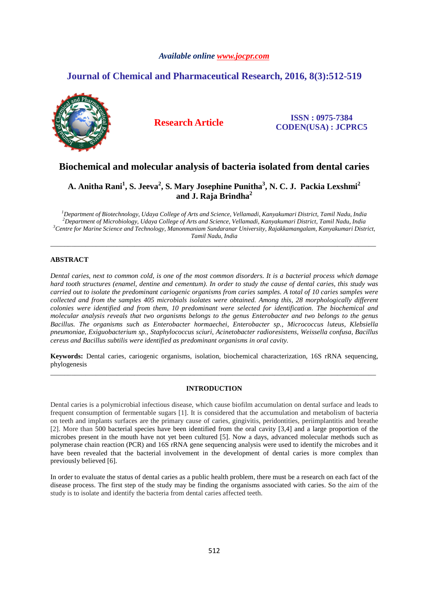# *Available online www.jocpr.com*

# **Journal of Chemical and Pharmaceutical Research, 2016, 8(3):512-519**



# **Research Article ISSN : 0975-7384 CODEN(USA) : JCPRC5**

# **Biochemical and molecular analysis of bacteria isolated from dental caries**

# **A. Anitha Rani<sup>1</sup> , S. Jeeva<sup>2</sup> , S. Mary Josephine Punitha<sup>3</sup> , N. C. J. Packia Lexshmi<sup>2</sup> and J. Raja Brindha<sup>2</sup>**

*Department of Biotechnology, Udaya College of Arts and Science, Vellamadi, Kanyakumari District, Tamil Nadu, India Department of Microbiology, Udaya College of Arts and Science, Vellamadi, Kanyakumari District, Tamil Nadu, India Centre for Marine Science and Technology, Manonmaniam Sundaranar University, Rajakkamangalam, Kanyakumari District, Tamil Nadu, India* 

\_\_\_\_\_\_\_\_\_\_\_\_\_\_\_\_\_\_\_\_\_\_\_\_\_\_\_\_\_\_\_\_\_\_\_\_\_\_\_\_\_\_\_\_\_\_\_\_\_\_\_\_\_\_\_\_\_\_\_\_\_\_\_\_\_\_\_\_\_\_\_\_\_\_\_\_\_\_\_\_\_\_\_\_\_\_\_\_\_\_\_\_\_

# **ABSTRACT**

*Dental caries, next to common cold, is one of the most common disorders. It is a bacterial process which damage hard tooth structures (enamel, dentine and cementum). In order to study the cause of dental caries, this study was carried out to isolate the predominant cariogenic organisms from caries samples. A total of 10 caries samples were collected and from the samples 405 microbials isolates were obtained. Among this, 28 morphologically different colonies were identified and from them, 10 predominant were selected for identification. The biochemical and molecular analysis reveals that two organisms belongs to the genus Enterobacter and two belongs to the genus Bacillus. The organisms such as Enterobacter hormaechei, Enterobacter sp., Micrococcus luteus, Klebsiella pneumoniae, Exiguobacterium sp., Staphylococcus sciuri, Acinetobacter radioresistens, Weissella confusa, Bacillus cereus and Bacillus subtilis were identified as predominant organisms in oral cavity.* 

**Keywords:** Dental caries, cariogenic organisms, isolation, biochemical characterization, 16S rRNA sequencing, phylogenesis \_\_\_\_\_\_\_\_\_\_\_\_\_\_\_\_\_\_\_\_\_\_\_\_\_\_\_\_\_\_\_\_\_\_\_\_\_\_\_\_\_\_\_\_\_\_\_\_\_\_\_\_\_\_\_\_\_\_\_\_\_\_\_\_\_\_\_\_\_\_\_\_\_\_\_\_\_\_\_\_\_\_\_\_\_\_\_\_\_\_\_\_\_

# **INTRODUCTION**

Dental caries is a polymicrobial infectious disease, which cause biofilm accumulation on dental surface and leads to frequent consumption of fermentable sugars [1]. It is considered that the accumulation and metabolism of bacteria on teeth and implants surfaces are the primary cause of caries, gingivitis, peridontities, periimplantitis and breathe [2]. More than 500 bacterial species have been identified from the oral cavity [3,4] and a large proportion of the microbes present in the mouth have not yet been cultured [5]. Now a days, advanced molecular methods such as polymerase chain reaction (PCR) and 16S rRNA gene sequencing analysis were used to identify the microbes and it have been revealed that the bacterial involvement in the development of dental caries is more complex than previously believed [6].

In order to evaluate the status of dental caries as a public health problem, there must be a research on each fact of the disease process. The first step of the study may be finding the organisms associated with caries. So the aim of the study is to isolate and identify the bacteria from dental caries affected teeth.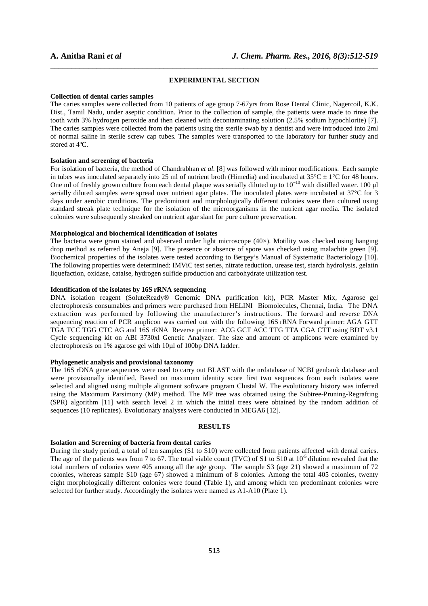## **EXPERIMENTAL SECTION**

\_\_\_\_\_\_\_\_\_\_\_\_\_\_\_\_\_\_\_\_\_\_\_\_\_\_\_\_\_\_\_\_\_\_\_\_\_\_\_\_\_\_\_\_\_\_\_\_\_\_\_\_\_\_\_\_\_\_\_\_\_\_\_\_\_\_\_\_\_\_\_\_\_\_\_\_\_\_

#### **Collection of dental caries samples**

The caries samples were collected from 10 patients of age group 7-67yrs from Rose Dental Clinic, Nagercoil, K.K. Dist., Tamil Nadu, under aseptic condition. Prior to the collection of sample, the patients were made to rinse the tooth with 3% hydrogen peroxide and then cleaned with decontaminating solution (2.5% sodium hypochlorite) [7]. The caries samples were collected from the patients using the sterile swab by a dentist and were introduced into 2ml of normal saline in sterile screw cap tubes. The samples were transported to the laboratory for further study and stored at 4ºC.

## **Isolation and screening of bacteria**

For isolation of bacteria, the method of Chandrabhan *et al.* [8] was followed with minor modifications. Each sample in tubes was inoculated separately into 25 ml of nutrient broth (Himedia) and incubated at  $35^{\circ}$ C  $\pm$  1°C for 48 hours. One ml of freshly grown culture from each dental plaque was serially diluted up to 10<sup>-10</sup> with distilled water. 100 μl serially diluted samples were spread over nutrient agar plates. The inoculated plates were incubated at 37°C for 3 days under aerobic conditions. The predominant and morphologically different colonies were then cultured using standard streak plate technique for the isolation of the microorganisms in the nutrient agar media. The isolated colonies were subsequently streaked on nutrient agar slant for pure culture preservation.

# **Morphological and biochemical identification of isolates**

The bacteria were gram stained and observed under light microscope  $(40\times)$ . Motility was checked using hanging drop method as referred by Aneja [9]. The presence or absence of spore was checked using malachite green [9]. Biochemical properties of the isolates were tested according to Bergey's Manual of Systematic Bacteriology [10]. The following properties were determined: IMViC test series, nitrate reduction, urease test, starch hydrolysis, gelatin liquefaction, oxidase, catalse, hydrogen sulfide production and carbohydrate utilization test.

# **Identification of the isolates by 16S rRNA sequencing**

DNA isolation reagent (SoluteReady® Genomic DNA purification kit), PCR Master Mix, Agarose gel electrophoresis consumables and primers were purchased from HELINI Biomolecules, Chennai, India. The DNA extraction was performed by following the manufacturer's instructions. The forward and reverse DNA sequencing reaction of PCR amplicon was carried out with the following 16S rRNA Forward primer: AGA GTT TGA TCC TGG CTC AG and 16S rRNA Reverse primer: ACG GCT ACC TTG TTA CGA CTT using BDT v3.1 Cycle sequencing kit on ABI 3730xl Genetic Analyzer. The size and amount of amplicons were examined by electrophoresis on 1% agarose gel with 10µl of 100bp DNA ladder.

# **Phylogenetic analysis and provisional taxonomy**

The 16S rDNA gene sequences were used to carry out BLAST with the nrdatabase of NCBI genbank database and were provisionally identified. Based on maximum identity score first two sequences from each isolates were selected and aligned using multiple alignment software program Clustal W. The evolutionary history was inferred using the Maximum Parsimony (MP) method. The MP tree was obtained using the Subtree-Pruning-Regrafting (SPR) algorithm [11] with search level 2 in which the initial trees were obtained by the random addition of sequences (10 replicates). Evolutionary analyses were conducted in MEGA6 [12].

#### **RESULTS**

### **Isolation and Screening of bacteria from dental caries**

During the study period, a total of ten samples (S1 to S10) were collected from patients affected with dental caries. The age of the patients was from 7 to 67. The total viable count (TVC) of S1 to S10 at  $10^{-5}$  dilution revealed that the total numbers of colonies were 405 among all the age group. The sample S3 (age 21) showed a maximum of 72 colonies, whereas sample S10 (age 67) showed a minimum of 8 colonies. Among the total 405 colonies, twenty eight morphologically different colonies were found (Table 1), and among which ten predominant colonies were selected for further study. Accordingly the isolates were named as A1-A10 (Plate 1).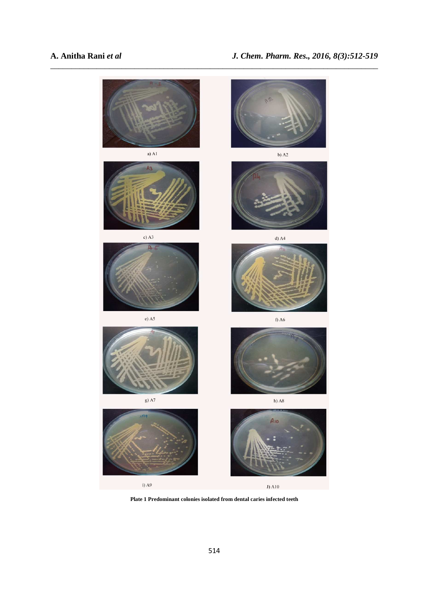

**Plate 1 Predominant colonies isolated from dental caries infected teeth**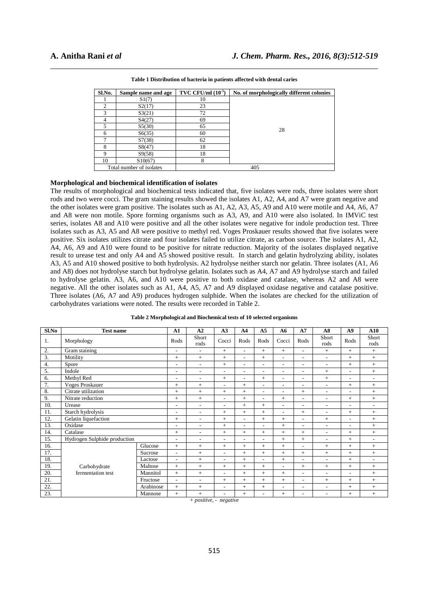| Sl.No. | Sample name and age      | TVC CFU/ml $(10^{-5})$ | No. of morphologically different colonies |
|--------|--------------------------|------------------------|-------------------------------------------|
|        | S1(7)                    | 10                     |                                           |
|        | S2(17)                   | 23                     |                                           |
| 3      | S3(21)                   | 72                     |                                           |
| 4      | S4(27)                   | 69                     |                                           |
|        | S5(30)                   | 65                     | 28                                        |
| 6      | S6(35)                   | 60                     |                                           |
|        | S7(38)                   | 62                     |                                           |
| 8      | S(47)                    | 18                     |                                           |
| 9      | S9(58)                   | 18                     |                                           |
| 10     | S10(67)                  | 8                      |                                           |
|        | Total number of isolates |                        | 405                                       |

\_\_\_\_\_\_\_\_\_\_\_\_\_\_\_\_\_\_\_\_\_\_\_\_\_\_\_\_\_\_\_\_\_\_\_\_\_\_\_\_\_\_\_\_\_\_\_\_\_\_\_\_\_\_\_\_\_\_\_\_\_\_\_\_\_\_\_\_\_\_\_\_\_\_\_\_\_\_ **Table 1 Distribution of bacteria in patients affected with dental caries** 

### **Morphological and biochemical identification of isolates**

The results of morphological and biochemical tests indicated that, five isolates were rods, three isolates were short rods and two were cocci. The gram staining results showed the isolates A1, A2, A4, and A7 were gram negative and the other isolates were gram positive. The isolates such as A1, A2, A3, A5, A9 and A10 were motile and A4, A6, A7 and A8 were non motile. Spore forming organisms such as A3, A9, and A10 were also isolated. In IMViC test series, isolates A8 and A10 were positive and all the other isolates were negative for indole production test. Three isolates such as A3, A5 and A8 were positive to methyl red. Voges Proskauer results showed that five isolates were positive. Six isolates utilizes citrate and four isolates failed to utilize citrate, as carbon source. The isolates A1, A2, A4, A6, A9 and A10 were found to be positive for nitrate reduction. Majority of the isolates displayed negative result to urease test and only A4 and A5 showed positive result. In starch and gelatin hydrolyzing ability, isolates A3, A5 and A10 showed positive to both hydrolysis. A2 hydrolyse neither starch nor gelatin. Three isolates (A1, A6 and A8) does not hydrolyse starch but hydrolyse gelatin. Isolates such as A4, A7 and A9 hydrolyse starch and failed to hydrolyse gelatin. A3, A6, and A10 were positive to both oxidase and catalase, whereas A2 and A8 were negative. All the other isolates such as A1, A4, A5, A7 and A9 displayed oxidase negative and catalase positive. Three isolates (A6, A7 and A9) produces hydrogen sulphide. When the isolates are checked for the utilization of carbohydrates variations were noted. The results were recorded in Table 2.

| Sl.No<br>1. | <b>Test name</b><br>Morphology            |           | A1<br>Rods               | A2<br>Short<br>rods      | A3<br>Cocci              | A <sub>4</sub><br>Rods       | A <sub>5</sub><br>Rods   | A6<br>Cocci              | A7<br>Rods               | A8<br>Short<br>rods      | A9<br>Rods               | A10<br>Short<br>rods     |
|-------------|-------------------------------------------|-----------|--------------------------|--------------------------|--------------------------|------------------------------|--------------------------|--------------------------|--------------------------|--------------------------|--------------------------|--------------------------|
| 2.          | Gram staining                             |           | ۰                        | $\overline{\phantom{0}}$ | $+$                      | ٠                            | $+$                      | $+$                      | $\overline{\phantom{0}}$ | $+$                      | $^{+}$                   | $+$                      |
| 3.          | Motility                                  |           | $+$                      | $+$                      | $^{+}$                   | ۰                            | $^{+}$                   | $\overline{\phantom{a}}$ | $\overline{\phantom{a}}$ | $\overline{\phantom{a}}$ | $^{+}$                   | $+$                      |
| 4.          | Spore                                     |           | ۰                        | $\overline{\phantom{0}}$ | $^{+}$                   | ۰                            | $\overline{\phantom{a}}$ | $\overline{\phantom{a}}$ | ۰                        | ٠                        | $^{+}$                   | $^{+}$                   |
| 5.          | Indole                                    |           | $\overline{a}$           | $\overline{\phantom{a}}$ | $\overline{a}$           | $\overline{\phantom{a}}$     | $\overline{\phantom{a}}$ | $\overline{\phantom{a}}$ | $\overline{a}$           | $+$                      | $\overline{a}$           | $+$                      |
| 6.          | Methyl Red                                |           | $\overline{\phantom{a}}$ | $\overline{\phantom{a}}$ | $+$                      | ٠                            | $+$                      | $\overline{a}$           | $\overline{a}$           | $+$                      | $\overline{a}$           | $\overline{a}$           |
| 7.          | <b>Voges Proskauer</b>                    |           | $+$                      | $+$                      | $\overline{\phantom{a}}$ | $+$                          | $\overline{\phantom{a}}$ | $\overline{a}$           | $\overline{\phantom{0}}$ | $\overline{a}$           | $^{+}$                   | $+$                      |
| 8.          | Citrate utilization                       |           | $+$                      | $+$                      | $^{+}$                   | $+$                          | $\overline{\phantom{a}}$ | $\overline{\phantom{a}}$ | $+$                      | $\overline{\phantom{a}}$ | $\overline{a}$           | $^{+}$                   |
| 9.          | Nitrate reduction                         |           | $+$                      | $+$                      | $\overline{\phantom{a}}$ | $+$                          | $\overline{\phantom{a}}$ | $^{+}$                   | $\overline{\phantom{0}}$ | $\overline{\phantom{a}}$ | $^{+}$                   | $+$                      |
| 10.         | Urease                                    |           | $\overline{a}$           | $\overline{\phantom{a}}$ | $\overline{\phantom{0}}$ | $+$                          | $+$                      | $\overline{\phantom{a}}$ | $\overline{a}$           | $\overline{\phantom{0}}$ | $\overline{a}$           | $\overline{\phantom{a}}$ |
| 11.         | Starch hydrolysis                         |           | $\overline{a}$           | $\overline{\phantom{a}}$ | $+$                      | $+$                          | $+$                      | $\overline{\phantom{a}}$ | $+$                      | $\overline{\phantom{a}}$ | $^{+}$                   | $+$                      |
| 12.         | Gelatin liquefaction                      |           | $+$                      | $\qquad \qquad -$        | $+$                      | $\qquad \qquad \blacksquare$ | $+$                      | $+$                      | $\overline{\phantom{0}}$ | $+$                      | $\qquad \qquad -$        | $+$                      |
| 13.         | Oxidase                                   |           |                          | $\overline{\phantom{0}}$ | $+$                      | ۰                            | $\overline{\phantom{a}}$ | $+$                      | ۰                        | ۰                        | $\overline{\phantom{0}}$ | $^{+}$                   |
| 14.         | Catalase                                  |           | $+$                      | $\overline{\phantom{a}}$ | $^{+}$                   | $+$                          | $+$                      | $+$                      | $+$                      | $\overline{\phantom{a}}$ | $^{+}$                   | $+$                      |
| 15.         | Hydrogen Sulphide production              |           | ۰                        | $\overline{\phantom{0}}$ | ٠                        | ٠                            | $\overline{\phantom{a}}$ | $+$                      | $+$                      | ۰                        | $^{+}$                   | $\overline{\phantom{a}}$ |
| 16.         |                                           | Glucose   | $+$                      | $+$                      | $^{+}$                   | $^{+}$                       | $^{+}$                   | $+$                      | $\overline{\phantom{0}}$ | $+$                      | $^{+}$                   | $^{+}$                   |
| 17.         |                                           | Sucrose   | $\overline{\phantom{a}}$ | $+$                      | $\overline{\phantom{a}}$ | $+$                          | $^{+}$                   | $+$                      | $+$                      | $^{+}$                   | $^{+}$                   | $^{+}$                   |
| 18.         |                                           | Lactose   | $\overline{a}$           | $+$                      | $\overline{\phantom{a}}$ | $+$                          | $\overline{\phantom{a}}$ | $+$                      | $\overline{a}$           | ۰                        | $^{+}$                   | $\overline{\phantom{a}}$ |
| 19.         | Carbohydrate                              | Maltose   | $+$                      | $+$                      | $^{+}$                   | $+$                          | $+$                      | $\overline{\phantom{0}}$ | $+$                      | $+$                      | $^{+}$                   | $^{+}$                   |
| 20.         | fermentation test<br>Mannitol<br>Fructose |           | $+$                      | $+$                      | $\overline{\phantom{0}}$ | $+$                          | $+$                      | $+$                      | ۰                        | $\overline{\phantom{a}}$ | $\overline{\phantom{0}}$ | $+$                      |
| 21.         |                                           |           | ۰                        | $\overline{\phantom{0}}$ | $^{+}$                   | $+$                          | $^{+}$                   | $+$                      | ۰                        | $+$                      | $^{+}$                   | $^{+}$                   |
| 22.         |                                           | Arabinose | $+$                      | $+$                      | ۰                        | $+$                          | $\qquad \qquad +$        | $\overline{\phantom{0}}$ | $\overline{a}$           | ۰                        | $^{+}$                   | $^{+}$                   |
| 23.         | Mannose                                   |           | $+$                      | $+$                      | $\overline{\phantom{0}}$ | $+$                          | $\overline{\phantom{a}}$ | $+$                      | $\overline{a}$           | $\overline{a}$           | $^{+}$                   | $^{+}$                   |

|  |  | Table 2 Morphological and Biochemical tests of 10 selected organisms |
|--|--|----------------------------------------------------------------------|
|  |  |                                                                      |

*+ positive, - negative*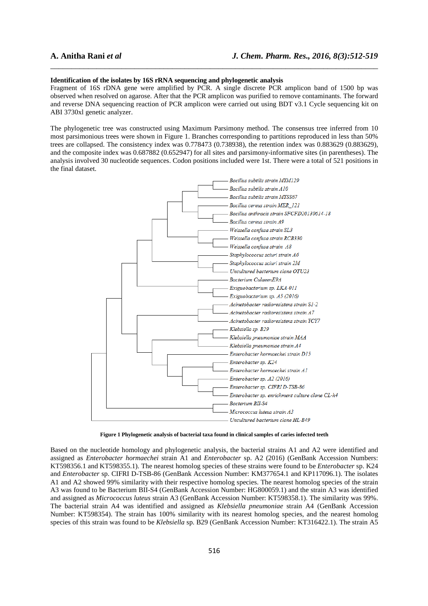#### **Identification of the isolates by 16S rRNA sequencing and phylogenetic analysis**

Fragment of 16S rDNA gene were amplified by PCR. A single discrete PCR amplicon band of 1500 bp was observed when resolved on agarose. After that the PCR amplicon was purified to remove contaminants. The forward and reverse DNA sequencing reaction of PCR amplicon were carried out using BDT v3.1 Cycle sequencing kit on ABI 3730xl genetic analyzer.

\_\_\_\_\_\_\_\_\_\_\_\_\_\_\_\_\_\_\_\_\_\_\_\_\_\_\_\_\_\_\_\_\_\_\_\_\_\_\_\_\_\_\_\_\_\_\_\_\_\_\_\_\_\_\_\_\_\_\_\_\_\_\_\_\_\_\_\_\_\_\_\_\_\_\_\_\_\_

The phylogenetic tree was constructed using Maximum Parsimony method. The consensus tree inferred from 10 most parsimonious trees were shown in Figure 1. Branches corresponding to partitions reproduced in less than 50% trees are collapsed. The consistency index was 0.778473 (0.738938), the retention index was 0.883629 (0.883629), and the composite index was 0.687882 (0.652947) for all sites and parsimony-informative sites (in parentheses). The analysis involved 30 nucleotide sequences. Codon positions included were 1st. There were a total of 521 positions in the final dataset.



**Figure 1 Phylogenetic analysis of bacterial taxa found in clinical samples of caries infected teeth** 

Based on the nucleotide homology and phylogenetic analysis, the bacterial strains A1 and A2 were identified and assigned as *Enterobacter hormaechei* strain A1 and *Enterobacter* sp. A2 (2016) (GenBank Accession Numbers: KT598356.1 and KT598355.1). The nearest homolog species of these strains were found to be *Enterobacter* sp. K24 and *Enterobacter* sp. CIFRI D-TSB-86 (GenBank Accession Number: KM377654.1 and KP117096.1). The isolates A1 and A2 showed 99% similarity with their respective homolog species. The nearest homolog species of the strain A3 was found to be Bacterium BII-S4 (GenBank Accession Number: HG800059.1) and the strain A3 was identified and assigned as *Micrococcus luteus* strain A3 (GenBank Accession Number: KT598358.1). The similarity was 99%. The bacterial strain A4 was identified and assigned as *Klebsiella pneumoniae* strain A4 (GenBank Accession Number: KT598354). The strain has 100% similarity with its nearest homolog species, and the nearest homolog species of this strain was found to be *Klebsiella* sp. B29 (GenBank Accession Number: KT316422.1). The strain A5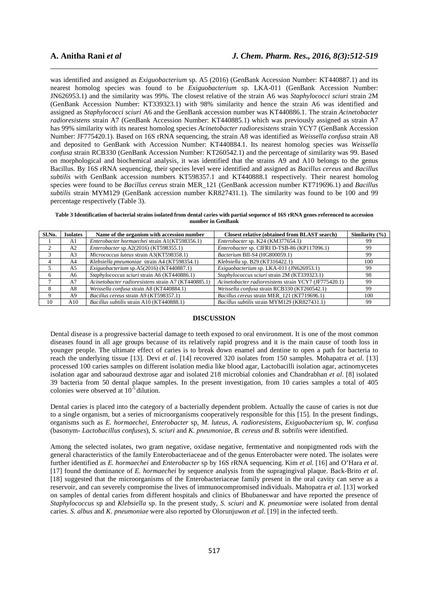was identified and assigned as *Exiguobacterium* sp. A5 (2016) (GenBank Accession Number: KT440887.1) and its nearest homolog species was found to be *Exiguobacterium* sp. LKA-011 (GenBank Accession Number: JN626953.1) and the similarity was 99%. The closest relative of the strain A6 was *Staphylococci sciuri* strain 2M (GenBank Accession Number: KT339323.1) with 98% similarity and hence the strain A6 was identified and assigned as *Staphylococci sciuri* A6 and the GenBank accession number was KT440886.1. The strain *Acinetobacter radioresistens* strain A7 (GenBank Accession Number: KT440885.1) which was previously assigned as strain A7 has 99% similarity with its nearest homolog species *Acinetobacter radioresistens* strain YCY7 (GenBank Accession Number: JF775420.1). Based on 16S rRNA sequencing, the strain A8 was identified as *Weissella confusa* strain A8 and deposited to GenBank with Accession Number: KT440884.1. Its nearest homolog species was *Weissella confusa* strain RCB330 (GenBank Accession Number: KT260542.1) and the percentage of similarity was 99. Based on morphological and biochemical analysis, it was identified that the strains A9 and A10 belongs to the genus Bacillus. By 16S rRNA sequencing, their species level were identified and assigned as *Bacillus cereus* and *Bacillus subtilis* with GenBank accession numbers KT598357.1 and KT440888.1 respectively. Their nearest homolog species were found to be *Bacillus cereus* strain MER\_121 (GenBank accession number KT719696.1) and *Bacillus subtilis* strain MYM129 (GenBank accession number KR827431.1). The similarity was found to be 100 and 99 percentage respectively (Table 3).

\_\_\_\_\_\_\_\_\_\_\_\_\_\_\_\_\_\_\_\_\_\_\_\_\_\_\_\_\_\_\_\_\_\_\_\_\_\_\_\_\_\_\_\_\_\_\_\_\_\_\_\_\_\_\_\_\_\_\_\_\_\_\_\_\_\_\_\_\_\_\_\_\_\_\_\_\_\_

**Table 3 Identification of bacterial strains isolated from dental caries with partial sequence of 16S rRNA genes referenced to accession number in GenBank** 

| Sl.No. | <b>Isolates</b> | Name of the organism with accession number          | <b>Closest relative (obtained from BLAST search)</b>  | Similarity $(\% )$ |
|--------|-----------------|-----------------------------------------------------|-------------------------------------------------------|--------------------|
|        | A1              | Enterobacter hormaechei strain A1(KT598356.1)       | Enterobacter sp. K24 (KM377654.1)                     | -99                |
|        | A2              | <i>Enterobacter sp.A2(2016) (KT598355.1)</i>        | Enterobacter sp. CIFRI D-TSB-86 (KP117096.1)          | -99                |
|        | A <sub>3</sub>  | <i>Micrococcus luteus strain A3(KT598358.1)</i>     | Bacterium BII-S4 (HG800059.1)                         | 99                 |
|        | A4              | Klebsiella pneumoniae strain A4 (KT598354.1)        | <i>Klebsiella sp. B29 (KT316422.1)</i>                | 100                |
|        | A5              | Exiguobacterium sp. $A5(2016)$ (KT440887.1)         | Exiguobacterium sp. LKA-011 (JN626953.1)              | 99                 |
|        | A6              | Staphylococcus sciuri strain A6 (KT440886.1)        | Staphylococcus sciuri strain 2M (KT339323.1)          | 98                 |
|        | A7              | Acinetobacter radioresistens strain A7 (KT440885.1) | Acinetobacter radioresistens strain YCY7 (JF775420.1) | 99                 |
|        | A8              | Weissella confusa strain A8 (KT440884.1)            | Weissella confusa strain RCB330 (KT260542.1)          | 99                 |
|        | A9              | Bacillus cereus strain A9 (KT598357.1)              | Bacillus cereus strain MER 121 (KT719696.1)           | 100                |
| 10     | A10             | Bacillus subtilis strain A10 (KT440888.1)           | Bacillus subtilis strain MYM129 (KR827431.1)          | 99                 |

# **DISCUSSION**

Dental disease is a progressive bacterial damage to teeth exposed to oral environment. It is one of the most common diseases found in all age groups because of its relatively rapid progress and it is the main cause of tooth loss in younger people. The ultimate effect of caries is to break down enamel and dentine to open a path for bacteria to reach the underlying tissue [13]. Devi *et al*. [14] recovered 320 isolates from 150 samples. Mohapatra *et al*. [13] processed 100 caries samples on different isolation media like blood agar, Lactobacilli isolation agar, actinomycetes isolation agar and sabouraud dextrose agar and isolated 218 microbial colonies and Chandrabhan *et al*. [8] isolated 39 bacteria from 50 dental plaque samples. In the present investigation, from 10 caries samples a total of 405 colonies were observed at  $10^{-5}$  dilution.

Dental caries is placed into the category of a bacterially dependent problem. Actually the cause of caries is not due to a single organism, but a series of microorganisms cooperatively responsible for this [15]. In the present findings, organisms such as *E. hormaechei, Enterobacter* sp*, M. luteus, A. radioresistens, Exiguobacterium* sp*, W. confusa*  (basonym- *Lactobacillus confuses*)*, S. sciuri* and *K. pneumoniae, B. cereus and B. subtilis* were identified.

Among the selected isolates, two gram negative, oxidase negative, fermentative and nonpigmented rods with the general characteristics of the family Enterobacteriaceae and of the genus Enterobacter were noted. The isolates were further identified as *E. hormaechei* and *Enterobacter* sp by 16S rRNA sequencing. Kim *et al.* [16] and O'Hara *et al.* [17] found the dominance of *E. hormaechei* by sequence analysis from the supragingival plaque. Back-Brito *et al.*  [18] suggested that the microorganisms of the Enterobacteriaceae family present in the oral cavity can serve as a reservoir, and can severely compromise the lives of immunocompromised individuals. Mahopatra *et al.* [13] worked on samples of dental caries from different hospitals and clinics of Bhubaneswar and have reported the presence of *Staphylococcus* sp and *Klebsiella* sp. In the present study, *S. sciuri* and *K. pneumoniae* were isolated from dental caries. *S. albus* and *K. pneumoniae* were also reported by Olorunjuwon *et al.* [19] in the infected teeth.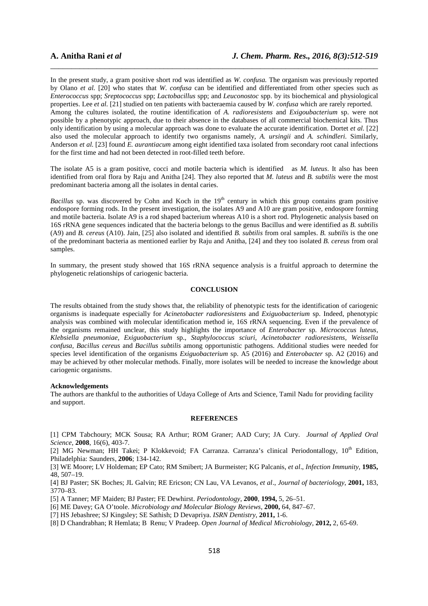In the present study, a gram positive short rod was identified as *W. confusa.* The organism was previously reported by Olano *et al.* [20] who states that *W. confusa* can be identified and differentiated from other species such as *Enterococcus* spp; *Sreptococcus* spp; *Lactobacillus* spp; and *Leuconostoc* spp. by its biochemical and physiological properties. Lee *et al.* [21] studied on ten patients with bacteraemia caused by *W. confusa* which are rarely reported. Among the cultures isolated, the routine identification of *A. radioresistens* and *Exigoubacterium* sp. were not possible by a phenotypic approach, due to their absence in the databases of all commercial biochemical kits. Thus only identification by using a molecular approach was done to evaluate the accurate identification. Dortet *et al.* [22] also used the molecular approach to identify two organisms namely, *A. ursingii* and *A. schindleri.* Similarly, Anderson *et al.* [23] found *E. aurantiacum* among eight identified taxa isolated from secondary root canal infections for the first time and had not been detected in root-filled teeth before.

\_\_\_\_\_\_\_\_\_\_\_\_\_\_\_\_\_\_\_\_\_\_\_\_\_\_\_\_\_\_\_\_\_\_\_\_\_\_\_\_\_\_\_\_\_\_\_\_\_\_\_\_\_\_\_\_\_\_\_\_\_\_\_\_\_\_\_\_\_\_\_\_\_\_\_\_\_\_

The isolate A5 is a gram positive, cocci and motile bacteria which is identified as *M. luteus*. It also has been identified from oral flora by Raju and Anitha [24]. They also reported that *M. luteus* and *B. subtilis* were the most predominant bacteria among all the isolates in dental caries.

*Bacillus* sp. was discovered by Cohn and Koch in the 19<sup>th</sup> century in which this group contains gram positive endospore forming rods. In the present investigation, the isolates A9 and A10 are gram positive, endospore forming and motile bacteria. Isolate A9 is a rod shaped bacterium whereas A10 is a short rod. Phylogenetic analysis based on 16S rRNA gene sequences indicated that the bacteria belongs to the genus Bacillus and were identified as *B. subtilis*  (A9) and *B. cereus* (A10). Jain, [25] also isolated and identified *B. subtilis* from oral samples. *B. subtilis* is the one of the predominant bacteria as mentioned earlier by Raju and Anitha, [24] and they too isolated *B. cereus* from oral samples.

In summary, the present study showed that 16S rRNA sequence analysis is a fruitful approach to determine the phylogenetic relationships of cariogenic bacteria.

# **CONCLUSION**

The results obtained from the study shows that, the reliability of phenotypic tests for the identification of cariogenic organisms is inadequate especially for *Acinetobacter radioresistens* and *Exiguobacterium* sp. Indeed, phenotypic analysis was combined with molecular identification method ie, 16S rRNA sequencing. Even if the prevalence of the organisms remained unclear, this study highlights the importance of *Enterobacter* sp. *Micrococcus luteus, Klebsiella pneumoniae, Exiguobacterium* sp., *Staphylococcus sciuri, Acinetobacter radioresistens, Weissella confusa, Bacillus cereus* and *Bacillus subtilis* among opportunistic pathogens. Additional studies were needed for species level identification of the organisms *Exiguobacterium* sp. A5 (2016) and *Enterobacter* sp. A2 (2016) and may be achieved by other molecular methods. Finally, more isolates will be needed to increase the knowledge about cariogenic organisms.

## **Acknowledgements**

The authors are thankful to the authorities of Udaya College of Arts and Science, Tamil Nadu for providing facility and support.

### **REFERENCES**

[1] CPM Tabchoury; MCK Sousa; RA Arthur; ROM Graner; AAD Cury; JA Cury. *Journal of Applied Oral Science*, **2008**, 16(6), 403-7.

[2] MG Newman; HH Takei; P Klokkevoid; FA Carranza. Carranza's clinical Periodontallogy, 10<sup>th</sup> Edition, Philadelphia: Saunders, **2006**; 134-142.

[3] WE Moore; LV Holdeman; EP Cato; RM Smibert; JA Burmeister; KG Palcanis, *et al*., *Infection Immunity*, **1985,**  48, 507–19.

[4] BJ Paster; SK Boches; JL Galvin; RE Ericson; CN Lau, VA Levanos, *et al*., *Journal of bacteriology*, **2001,** 183, 3770–83.

[5] A Tanner; MF Maiden; BJ Paster; FE Dewhirst. *Periodontology*, **2000**, **1994,** 5, 26–51.

[6] ME Davey; GA O'toole. *Microbiology and Molecular Biology Reviews*, **2000,** 64, 847–67.

[7] HS Jebashree; SJ Kingsley; SE Sathish; D Devapriya. *ISRN Dentistry*, **2011,** 1-6.

[8] D Chandrabhan; R Hemlata; B Renu; V Pradeep. *Open Journal of Medical Microbiology*, **2012,** 2, 65-69.